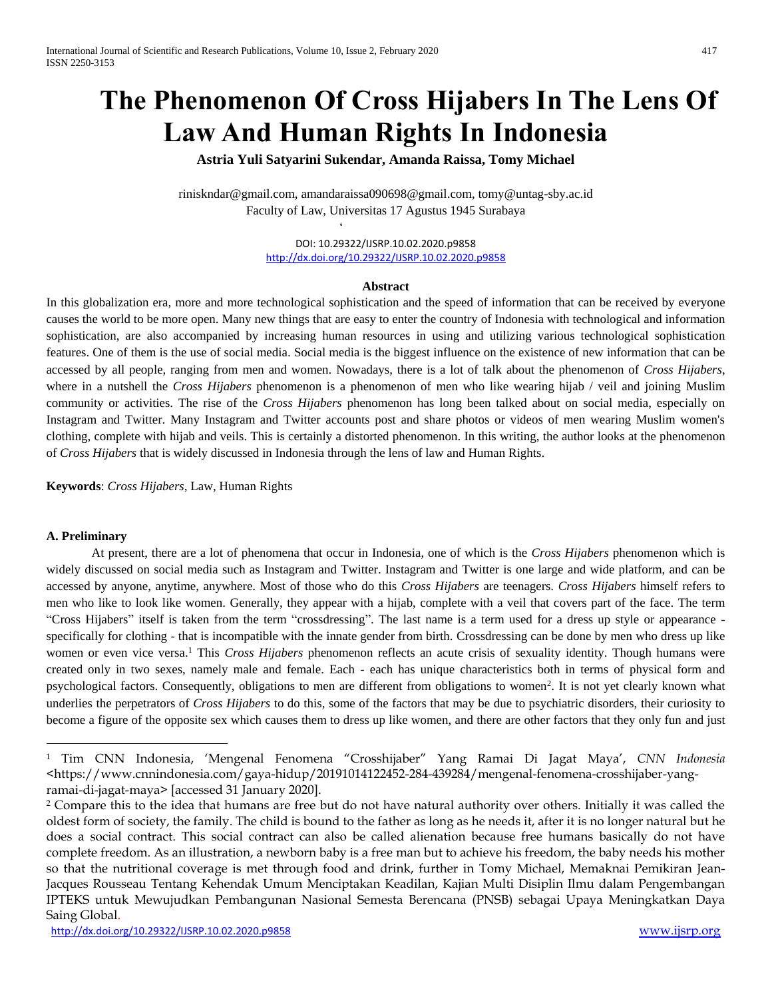# **The Phenomenon Of Cross Hijabers In The Lens Of Law And Human Rights In Indonesia**

**Astria Yuli Satyarini Sukendar, Amanda Raissa, Tomy Michael**

riniskndar@gmail.com, amandaraissa090698@gmail.com, tomy@untag-sby.ac.id Faculty of Law, Universitas 17 Agustus 1945 Surabaya

 $\ddot{\phantom{0}}$ 

DOI: 10.29322/IJSRP.10.02.2020.p9858 <http://dx.doi.org/10.29322/IJSRP.10.02.2020.p9858>

#### **Abstract**

In this globalization era, more and more technological sophistication and the speed of information that can be received by everyone causes the world to be more open. Many new things that are easy to enter the country of Indonesia with technological and information sophistication, are also accompanied by increasing human resources in using and utilizing various technological sophistication features. One of them is the use of social media. Social media is the biggest influence on the existence of new information that can be accessed by all people, ranging from men and women. Nowadays, there is a lot of talk about the phenomenon of *Cross Hijabers*, where in a nutshell the *Cross Hijabers* phenomenon is a phenomenon of men who like wearing hijab / veil and joining Muslim community or activities. The rise of the *Cross Hijabers* phenomenon has long been talked about on social media, especially on Instagram and Twitter. Many Instagram and Twitter accounts post and share photos or videos of men wearing Muslim women's clothing, complete with hijab and veils. This is certainly a distorted phenomenon. In this writing, the author looks at the phenomenon of *Cross Hijabers* that is widely discussed in Indonesia through the lens of law and Human Rights.

**Keywords**: *Cross Hijabers*, Law, Human Rights

# **A. Preliminary**

 $\ddot{\phantom{a}}$ 

At present, there are a lot of phenomena that occur in Indonesia, one of which is the *Cross Hijabers* phenomenon which is widely discussed on social media such as Instagram and Twitter. Instagram and Twitter is one large and wide platform, and can be accessed by anyone, anytime, anywhere. Most of those who do this *Cross Hijabers* are teenagers. *Cross Hijabers* himself refers to men who like to look like women. Generally, they appear with a hijab, complete with a veil that covers part of the face. The term "Cross Hijabers" itself is taken from the term "crossdressing". The last name is a term used for a dress up style or appearance specifically for clothing - that is incompatible with the innate gender from birth. Crossdressing can be done by men who dress up like women or even vice versa. <sup>1</sup> This *Cross Hijabers* phenomenon reflects an acute crisis of sexuality identity. Though humans were created only in two sexes, namely male and female. Each - each has unique characteristics both in terms of physical form and psychological factors. Consequently, obligations to men are different from obligations to women<sup>2</sup>. It is not yet clearly known what underlies the perpetrators of *Cross Hijabers* to do this, some of the factors that may be due to psychiatric disorders, their curiosity to become a figure of the opposite sex which causes them to dress up like women, and there are other factors that they only fun and just

<sup>1</sup> Tim CNN Indonesia, 'Mengenal Fenomena "Crosshijaber" Yang Ramai Di Jagat Maya', *CNN Indonesia* <https://www.cnnindonesia.com/gaya-hidup/20191014122452-284-439284/mengenal-fenomena-crosshijaber-yangramai-di-jagat-maya> [accessed 31 January 2020].

<sup>&</sup>lt;sup>2</sup> Compare this to the idea that humans are free but do not have natural authority over others. Initially it was called the oldest form of society, the family. The child is bound to the father as long as he needs it, after it is no longer natural but he does a social contract. This social contract can also be called alienation because free humans basically do not have complete freedom. As an illustration, a newborn baby is a free man but to achieve his freedom, the baby needs his mother so that the nutritional coverage is met through food and drink, further in Tomy Michael, Memaknai Pemikiran Jean-Jacques Rousseau Tentang Kehendak Umum Menciptakan Keadilan, Kajian Multi Disiplin Ilmu dalam Pengembangan IPTEKS untuk Mewujudkan Pembangunan Nasional Semesta Berencana (PNSB) sebagai Upaya Meningkatkan Daya Saing Global.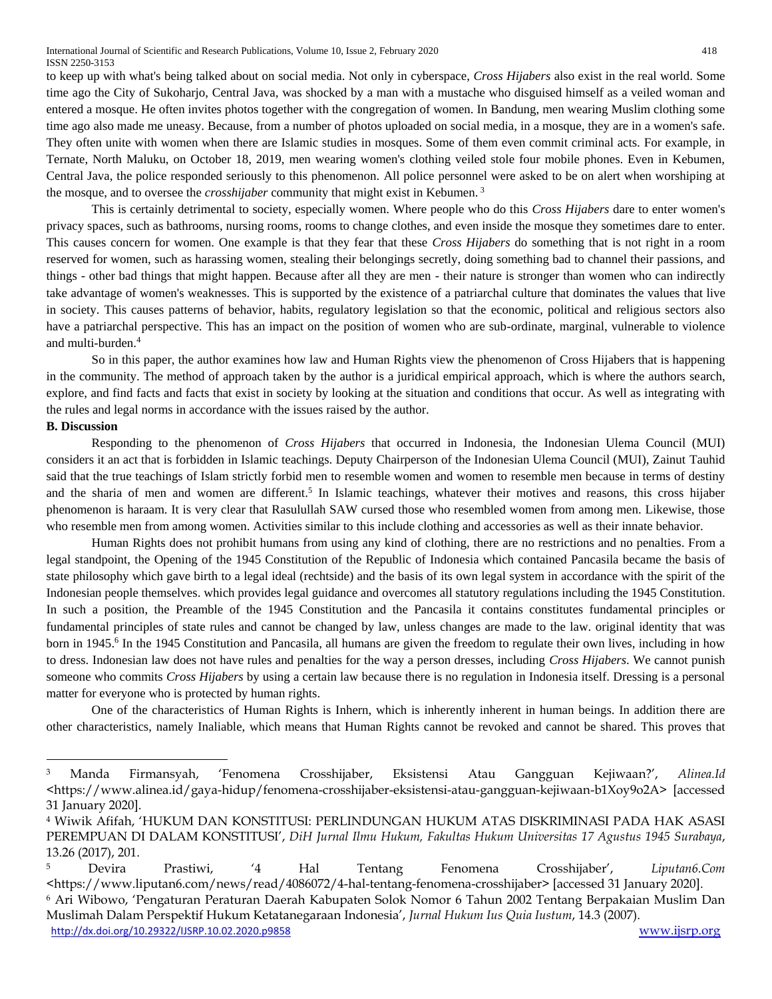to keep up with what's being talked about on social media. Not only in cyberspace, *Cross Hijabers* also exist in the real world. Some time ago the City of Sukoharjo, Central Java, was shocked by a man with a mustache who disguised himself as a veiled woman and entered a mosque. He often invites photos together with the congregation of women. In Bandung, men wearing Muslim clothing some time ago also made me uneasy. Because, from a number of photos uploaded on social media, in a mosque, they are in a women's safe. They often unite with women when there are Islamic studies in mosques. Some of them even commit criminal acts. For example, in Ternate, North Maluku, on October 18, 2019, men wearing women's clothing veiled stole four mobile phones. Even in Kebumen, Central Java, the police responded seriously to this phenomenon. All police personnel were asked to be on alert when worshiping at the mosque, and to oversee the *crosshijaber* community that might exist in Kebumen. <sup>3</sup>

This is certainly detrimental to society, especially women. Where people who do this *Cross Hijabers* dare to enter women's privacy spaces, such as bathrooms, nursing rooms, rooms to change clothes, and even inside the mosque they sometimes dare to enter. This causes concern for women. One example is that they fear that these *Cross Hijabers* do something that is not right in a room reserved for women, such as harassing women, stealing their belongings secretly, doing something bad to channel their passions, and things - other bad things that might happen. Because after all they are men - their nature is stronger than women who can indirectly take advantage of women's weaknesses. This is supported by the existence of a patriarchal culture that dominates the values that live in society. This causes patterns of behavior, habits, regulatory legislation so that the economic, political and religious sectors also have a patriarchal perspective. This has an impact on the position of women who are sub-ordinate, marginal, vulnerable to violence and multi-burden.<sup>4</sup>

So in this paper, the author examines how law and Human Rights view the phenomenon of Cross Hijabers that is happening in the community. The method of approach taken by the author is a juridical empirical approach, which is where the authors search, explore, and find facts and facts that exist in society by looking at the situation and conditions that occur. As well as integrating with the rules and legal norms in accordance with the issues raised by the author.

# **B. Discussion**

 $\overline{a}$ 

Responding to the phenomenon of *Cross Hijabers* that occurred in Indonesia, the Indonesian Ulema Council (MUI) considers it an act that is forbidden in Islamic teachings. Deputy Chairperson of the Indonesian Ulema Council (MUI), Zainut Tauhid said that the true teachings of Islam strictly forbid men to resemble women and women to resemble men because in terms of destiny and the sharia of men and women are different.<sup>5</sup> In Islamic teachings, whatever their motives and reasons, this cross hijaber phenomenon is haraam. It is very clear that Rasulullah SAW cursed those who resembled women from among men. Likewise, those who resemble men from among women. Activities similar to this include clothing and accessories as well as their innate behavior.

Human Rights does not prohibit humans from using any kind of clothing, there are no restrictions and no penalties. From a legal standpoint, the Opening of the 1945 Constitution of the Republic of Indonesia which contained Pancasila became the basis of state philosophy which gave birth to a legal ideal (rechtside) and the basis of its own legal system in accordance with the spirit of the Indonesian people themselves. which provides legal guidance and overcomes all statutory regulations including the 1945 Constitution. In such a position, the Preamble of the 1945 Constitution and the Pancasila it contains constitutes fundamental principles or fundamental principles of state rules and cannot be changed by law, unless changes are made to the law. original identity that was born in 1945. 6 In the 1945 Constitution and Pancasila, all humans are given the freedom to regulate their own lives, including in how to dress. Indonesian law does not have rules and penalties for the way a person dresses, including *Cross Hijabers*. We cannot punish someone who commits *Cross Hijabers* by using a certain law because there is no regulation in Indonesia itself. Dressing is a personal matter for everyone who is protected by human rights.

One of the characteristics of Human Rights is Inhern, which is inherently inherent in human beings. In addition there are other characteristics, namely Inaliable, which means that Human Rights cannot be revoked and cannot be shared. This proves that

<sup>3</sup> Manda Firmansyah, 'Fenomena Crosshijaber, Eksistensi Atau Gangguan Kejiwaan?', *Alinea.Id* <https://www.alinea.id/gaya-hidup/fenomena-crosshijaber-eksistensi-atau-gangguan-kejiwaan-b1Xoy9o2A> [accessed 31 January 2020].

<sup>4</sup> Wiwik Afifah, 'HUKUM DAN KONSTITUSI: PERLINDUNGAN HUKUM ATAS DISKRIMINASI PADA HAK ASASI PEREMPUAN DI DALAM KONSTITUSI', *DiH Jurnal Ilmu Hukum, Fakultas Hukum Universitas 17 Agustus 1945 Surabaya*, 13.26 (2017), 201.

<sup>5</sup> Devira Prastiwi, '4 Hal Tentang Fenomena Crosshijaber', *Liputan6.Com* <https://www.liputan6.com/news/read/4086072/4-hal-tentang-fenomena-crosshijaber> [accessed 31 January 2020]. <sup>6</sup> Ari Wibowo, 'Pengaturan Peraturan Daerah Kabupaten Solok Nomor 6 Tahun 2002 Tentang Berpakaian Muslim Dan

<http://dx.doi.org/10.29322/IJSRP.10.02.2020.p9858> [www.ijsrp.org](http://ijsrp.org/) Muslimah Dalam Perspektif Hukum Ketatanegaraan Indonesia', *Jurnal Hukum Ius Quia Iustum*, 14.3 (2007).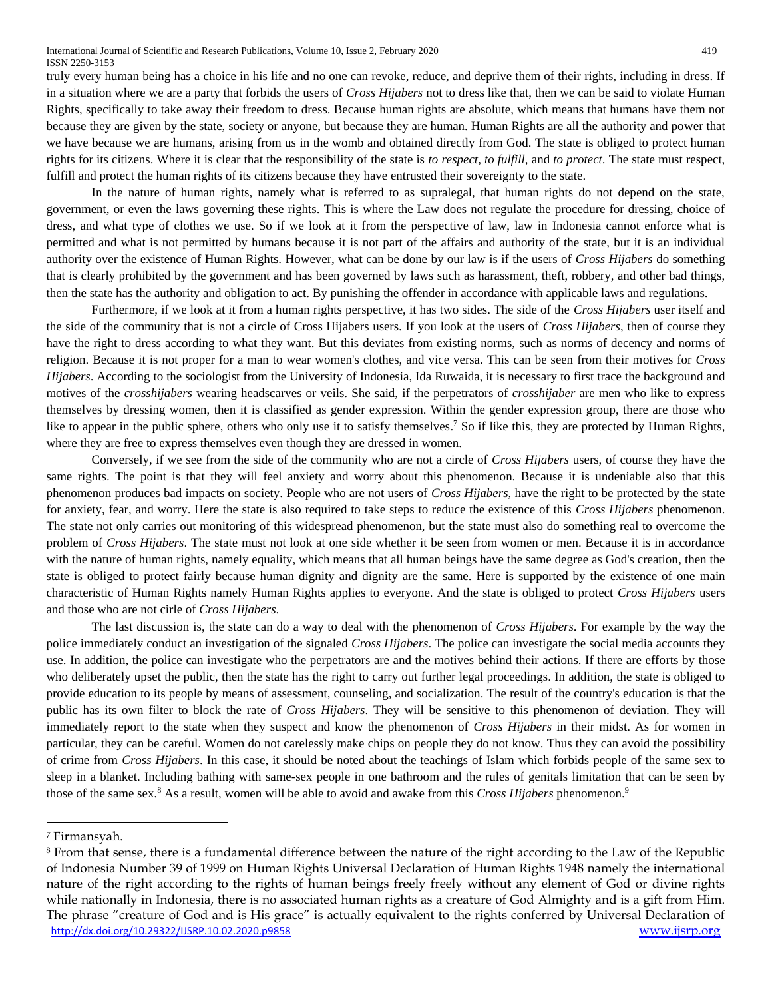truly every human being has a choice in his life and no one can revoke, reduce, and deprive them of their rights, including in dress. If in a situation where we are a party that forbids the users of *Cross Hijabers* not to dress like that, then we can be said to violate Human Rights, specifically to take away their freedom to dress. Because human rights are absolute, which means that humans have them not because they are given by the state, society or anyone, but because they are human. Human Rights are all the authority and power that we have because we are humans, arising from us in the womb and obtained directly from God. The state is obliged to protect human rights for its citizens. Where it is clear that the responsibility of the state is *to respect, to fulfill*, and *to protect*. The state must respect, fulfill and protect the human rights of its citizens because they have entrusted their sovereignty to the state.

In the nature of human rights, namely what is referred to as supralegal, that human rights do not depend on the state, government, or even the laws governing these rights. This is where the Law does not regulate the procedure for dressing, choice of dress, and what type of clothes we use. So if we look at it from the perspective of law, law in Indonesia cannot enforce what is permitted and what is not permitted by humans because it is not part of the affairs and authority of the state, but it is an individual authority over the existence of Human Rights. However, what can be done by our law is if the users of *Cross Hijabers* do something that is clearly prohibited by the government and has been governed by laws such as harassment, theft, robbery, and other bad things, then the state has the authority and obligation to act. By punishing the offender in accordance with applicable laws and regulations.

Furthermore, if we look at it from a human rights perspective, it has two sides. The side of the *Cross Hijabers* user itself and the side of the community that is not a circle of Cross Hijabers users. If you look at the users of *Cross Hijabers*, then of course they have the right to dress according to what they want. But this deviates from existing norms, such as norms of decency and norms of religion. Because it is not proper for a man to wear women's clothes, and vice versa. This can be seen from their motives for *Cross Hijabers*. According to the sociologist from the University of Indonesia, Ida Ruwaida, it is necessary to first trace the background and motives of the *crosshijabers* wearing headscarves or veils. She said, if the perpetrators of *crosshijaber* are men who like to express themselves by dressing women, then it is classified as gender expression. Within the gender expression group, there are those who like to appear in the public sphere, others who only use it to satisfy themselves.<sup>7</sup> So if like this, they are protected by Human Rights, where they are free to express themselves even though they are dressed in women.

Conversely, if we see from the side of the community who are not a circle of *Cross Hijabers* users, of course they have the same rights. The point is that they will feel anxiety and worry about this phenomenon. Because it is undeniable also that this phenomenon produces bad impacts on society. People who are not users of *Cross Hijabers*, have the right to be protected by the state for anxiety, fear, and worry. Here the state is also required to take steps to reduce the existence of this *Cross Hijabers* phenomenon. The state not only carries out monitoring of this widespread phenomenon, but the state must also do something real to overcome the problem of *Cross Hijabers*. The state must not look at one side whether it be seen from women or men. Because it is in accordance with the nature of human rights, namely equality, which means that all human beings have the same degree as God's creation, then the state is obliged to protect fairly because human dignity and dignity are the same. Here is supported by the existence of one main characteristic of Human Rights namely Human Rights applies to everyone. And the state is obliged to protect *Cross Hijabers* users and those who are not cirle of *Cross Hijabers*.

The last discussion is, the state can do a way to deal with the phenomenon of *Cross Hijabers*. For example by the way the police immediately conduct an investigation of the signaled *Cross Hijabers*. The police can investigate the social media accounts they use. In addition, the police can investigate who the perpetrators are and the motives behind their actions. If there are efforts by those who deliberately upset the public, then the state has the right to carry out further legal proceedings. In addition, the state is obliged to provide education to its people by means of assessment, counseling, and socialization. The result of the country's education is that the public has its own filter to block the rate of *Cross Hijabers*. They will be sensitive to this phenomenon of deviation. They will immediately report to the state when they suspect and know the phenomenon of *Cross Hijabers* in their midst. As for women in particular, they can be careful. Women do not carelessly make chips on people they do not know. Thus they can avoid the possibility of crime from *Cross Hijabers*. In this case, it should be noted about the teachings of Islam which forbids people of the same sex to sleep in a blanket. Including bathing with same-sex people in one bathroom and the rules of genitals limitation that can be seen by those of the same sex.<sup>8</sup> As a result, women will be able to avoid and awake from this *Cross Hijabers* phenomenon.<sup>9</sup>

 $\overline{a}$ 

<sup>7</sup> Firmansyah.

<http://dx.doi.org/10.29322/IJSRP.10.02.2020.p9858> [www.ijsrp.org](http://ijsrp.org/) <sup>8</sup> From that sense, there is a fundamental difference between the nature of the right according to the Law of the Republic of Indonesia Number 39 of 1999 on Human Rights Universal Declaration of Human Rights 1948 namely the international nature of the right according to the rights of human beings freely freely without any element of God or divine rights while nationally in Indonesia, there is no associated human rights as a creature of God Almighty and is a gift from Him. The phrase "creature of God and is His grace" is actually equivalent to the rights conferred by Universal Declaration of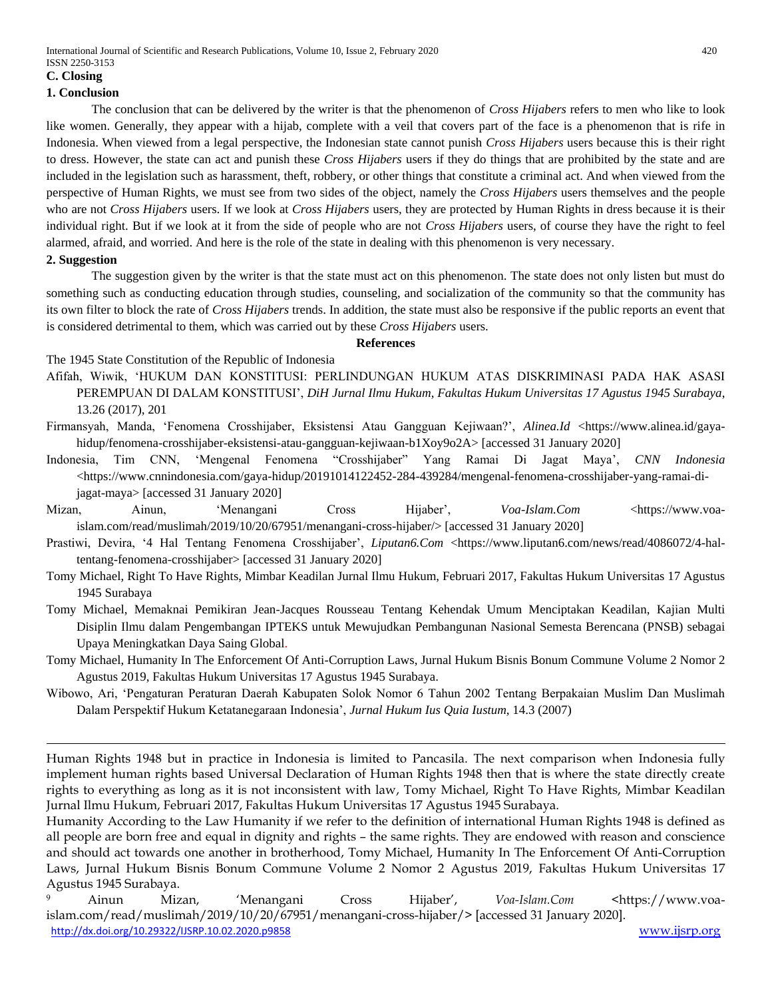## **C. Closing**

## **1. Conclusion**

The conclusion that can be delivered by the writer is that the phenomenon of *Cross Hijabers* refers to men who like to look like women. Generally, they appear with a hijab, complete with a veil that covers part of the face is a phenomenon that is rife in Indonesia. When viewed from a legal perspective, the Indonesian state cannot punish *Cross Hijabers* users because this is their right to dress. However, the state can act and punish these *Cross Hijabers* users if they do things that are prohibited by the state and are included in the legislation such as harassment, theft, robbery, or other things that constitute a criminal act. And when viewed from the perspective of Human Rights, we must see from two sides of the object, namely the *Cross Hijabers* users themselves and the people who are not *Cross Hijabers* users. If we look at *Cross Hijabers* users, they are protected by Human Rights in dress because it is their individual right. But if we look at it from the side of people who are not *Cross Hijabers* users, of course they have the right to feel alarmed, afraid, and worried. And here is the role of the state in dealing with this phenomenon is very necessary.

# **2. Suggestion**

1

The suggestion given by the writer is that the state must act on this phenomenon. The state does not only listen but must do something such as conducting education through studies, counseling, and socialization of the community so that the community has its own filter to block the rate of *Cross Hijabers* trends. In addition, the state must also be responsive if the public reports an event that is considered detrimental to them, which was carried out by these *Cross Hijabers* users.

#### **References**

The 1945 State Constitution of the Republic of Indonesia

- Afifah, Wiwik, 'HUKUM DAN KONSTITUSI: PERLINDUNGAN HUKUM ATAS DISKRIMINASI PADA HAK ASASI PEREMPUAN DI DALAM KONSTITUSI', *DiH Jurnal Ilmu Hukum, Fakultas Hukum Universitas 17 Agustus 1945 Surabaya*, 13.26 (2017), 201
- Firmansyah, Manda, 'Fenomena Crosshijaber, Eksistensi Atau Gangguan Kejiwaan?', *Alinea.Id* <https://www.alinea.id/gayahidup/fenomena-crosshijaber-eksistensi-atau-gangguan-kejiwaan-b1Xoy9o2A> [accessed 31 January 2020]
- Indonesia, Tim CNN, 'Mengenal Fenomena "Crosshijaber" Yang Ramai Di Jagat Maya', *CNN Indonesia*  $\lt$ https://www.cnnindonesia.com/gaya-hidup/20191014122452-284-439284/mengenal-fenomena-crosshijaber-yang-ramai-dijagat-maya> [accessed 31 January 2020]
- Mizan, Ainun, 'Menangani Cross Hijaber', *Voa-Islam.Com* <https://www.voaislam.com/read/muslimah/2019/10/20/67951/menangani-cross-hijaber/> [accessed 31 January 2020]
- Prastiwi, Devira, '4 Hal Tentang Fenomena Crosshijaber', *Liputan6.Com <https://www.liputan6.com/news/read/4086072/4-hal*tentang-fenomena-crosshijaber> [accessed 31 January 2020]
- Tomy Michael, Right To Have Rights, Mimbar Keadilan Jurnal Ilmu Hukum, Februari 2017, Fakultas Hukum Universitas 17 Agustus 1945 Surabaya
- Tomy Michael, Memaknai Pemikiran Jean-Jacques Rousseau Tentang Kehendak Umum Menciptakan Keadilan, Kajian Multi Disiplin Ilmu dalam Pengembangan IPTEKS untuk Mewujudkan Pembangunan Nasional Semesta Berencana (PNSB) sebagai Upaya Meningkatkan Daya Saing Global.
- Tomy Michael, Humanity In The Enforcement Of Anti-Corruption Laws, Jurnal Hukum Bisnis Bonum Commune Volume 2 Nomor 2 Agustus 2019, Fakultas Hukum Universitas 17 Agustus 1945 Surabaya.
- Wibowo, Ari, 'Pengaturan Peraturan Daerah Kabupaten Solok Nomor 6 Tahun 2002 Tentang Berpakaian Muslim Dan Muslimah Dalam Perspektif Hukum Ketatanegaraan Indonesia', *Jurnal Hukum Ius Quia Iustum*, 14.3 (2007)

Human Rights 1948 but in practice in Indonesia is limited to Pancasila. The next comparison when Indonesia fully implement human rights based Universal Declaration of Human Rights 1948 then that is where the state directly create rights to everything as long as it is not inconsistent with law, Tomy Michael, Right To Have Rights, Mimbar Keadilan Jurnal Ilmu Hukum, Februari 2017, Fakultas Hukum Universitas 17 Agustus 1945 Surabaya.

Humanity According to the Law Humanity if we refer to the definition of international Human Rights 1948 is defined as all people are born free and equal in dignity and rights – the same rights. They are endowed with reason and conscience and should act towards one another in brotherhood, Tomy Michael, Humanity In The Enforcement Of Anti-Corruption Laws, Jurnal Hukum Bisnis Bonum Commune Volume 2 Nomor 2 Agustus 2019, Fakultas Hukum Universitas 17 Agustus 1945 Surabaya.

<http://dx.doi.org/10.29322/IJSRP.10.02.2020.p9858> [www.ijsrp.org](http://ijsrp.org/) <sup>9</sup> Ainun Mizan, 'Menangani Cross Hijaber', *Voa-Islam.Com* <https://www.voaislam.com/read/muslimah/2019/10/20/67951/menangani-cross-hijaber/> [accessed 31 January 2020].